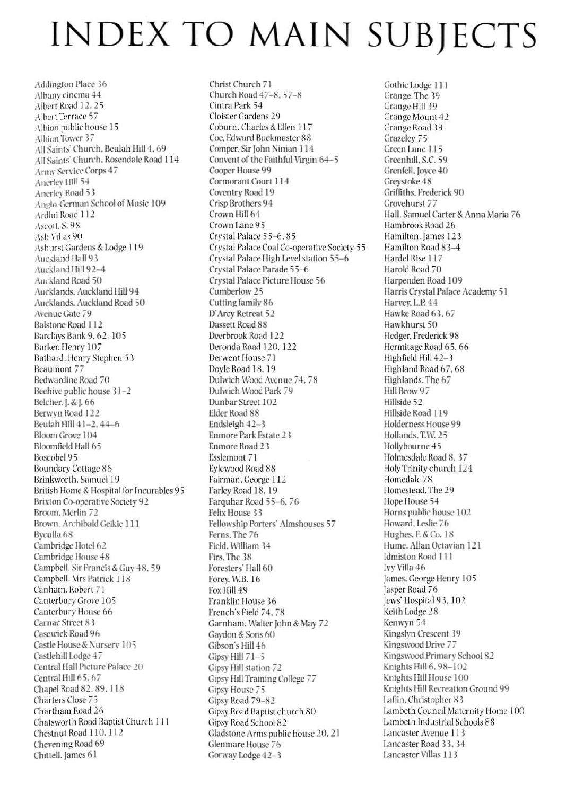## **INDEX TO MAIN SUBJECTS**

Addington Place 36 Albany cinema 44 Albert Road 12, 25 Albert Terrace 57 Albion public house 15 Albion Tower 37 All Saints' Church, Beulah Hill 4, 69 All Saints' Church, Rosendale Road 114 Army Service Corps 47 Anerlev Hill 54 Anerlev Road 53 Anglo-German School of Music 109 Ardlui Road 112 Ascott, S. 98 Ash Villas 90 Ashurst Gardens & Lodge 119 Auckland Hall 93 Auckland Hill 92-4 Auckland Road 50 Aucklands, Auckland Hill 94 Aucklands, Auckland Road 50 Avenue Gate 79 **Balstone Road 112** Barclays Bank 9, 62, 105 Barker, Henry 107 Bathard. Henry Stephen 53 Beaumont 77 Bedwardine Road 70 Beehive public house 31-2 Belcher. J. & J. 66 Berwyn Road 122 Beulah Hill 41-2, 44-6 Bloom Grove 104 Bloomfield Hall 65 Boscobel 95 Boundary Cottage 86 Brinkworth, Samuel 19 British Home & Hospital for Incurables 95 Brixton Co-operative Society 92 Broom, Merlin 72 Brown, Archibald Geikie 111 Byculla<sub>68</sub> Cambridge Hotel 62 Cambridge House 48 Campbell. Sir Francis & Guy 48.59 Campbell. Mrs Patrick 118 Canham. Robert 71 Canterbury Grove 105 Canterbury House 66 Carnac Street 83 Casewick Road 96 Castle House & Nursery 105 Castlehill Lodge 47 Central Hall Picture Palace 20 Central Hill 65, 67 Chapel Road 82, 89, 118 Charters Close 75 Chartham Road 26 Chatsworth Road Baptist Church 111 Chestnut Road 110, 112 Chevening Road 69 Chittell. James 61

Christ Church 71 Church Road 47-8, 57-8 Cintra Park 54 Cloister Gardens 29 Coburn, Charles & Ellen 117 Coe, Edward Buckmaster 88 Comper. Sir John Ninian 114 Convent of the Faithful Virgin 64-5 Cooper House 99 Cormorant Court 114 Coventry Road 19 Crisp Brothers 94 Crown Hill 64 Crown Lane 95 Crystal Palace 55-6, 85 Crystal Palace Coal Co-operative Society 55 Crystal Palace High Level station 55-6 Crystal Palace Parade 55-6 Crystal Palace Picture House 56 Cumberlow 25 Cutting family 86 D'Arcy Retreat 52 Dassett Road 88 Deerbrook Road 122 Deronda Road 120, 122 Derwent House 71 Doyle Road 18, 19 Dulwich Wood Avenue 74, 78 Dulwich Wood Park 79 Dunbar Street 102 Elder Road 88 Endsleigh 42-3 Enmore Park Estate 23 Enmore Road 23 Esslemont 71 Eylewood Road 88 Fairman, George 112 Farley Road 18, 19 Farquhar Road 55-6, 76 Felix House 33 Fellowship Porters' Almshouses 57 Ferns, The 76 Field, William 34 Firs. The 38 Foresters' Hall 60 Forey, W.B. 16 Fox Hill 49 Franklin House 36 French's Field 74, 78 Garnham. Walter John & May 72 Gavdon & Sons 60 Gibson's Hill 46 Gipsy Hill 71-5 Gipsy Hill station 72 Gipsy Hill Training College 77 Gipsy House 75 Gipsy Road 79-82 Gipsy Road Baptist church 80 Gipsy Road School 82 Gladstone Arms public house 20, 21 Glenmare House 76 Gorway Lodge 42-3

Gothic Lodge 111 Grange, The 39 Grange Hill 39 Grange Mount 42 Grange Road 39 Grazelev 75 Green Lane 115 Greenhill, S.C. 59 Grenfell, Joyce 40 Greystoke 48 Griffiths, Frederick 90 Grovehurst 77 Hall, Samuel Carter & Anna Maria 76 Hambrook Road 26 Hamilton, James 123 Hamilton Road 83-4 Hardel Rise 117 Harold Road 70 Harpenden Road 109 Harris Crystal Palace Academy 51 Harvey, L.P. 44 Hawke Road 63, 67 Hawkhurst 50 Hedger, Frederick 98 Hermitage Road 65, 66 Highfield Hill 42-3 Highland Road 67, 68 Highlands. The 67 Hill Brow 97 Hillside 52 Hillside Road 119 Holderness House 99 Hollands, T.W. 25 Hollybourne 45 Holmesdale Road 8.37 Holy Trinity church 124 Homedale 78 Homestead, The 29 Hope House 54 Horns public house 102 Howard, Leslie 76 Hughes, F. & Co. 18 Hume, Allan Octavian 121 Idmiston Road 111 Ivy Villa 46 James, George Henry 105 Jasper Road 76 Jews' Hospital 93, 102 Keith Lodge 28 Kenwyn 54 Kingslyn Crescent 39 Kingswood Drive 77 Kingswood Primary School 82 Knights Hill 6, 98-102 Knights Hill House 100 Knights Hill Recreation Ground 99 Laflin, Christopher 83 Lambeth Council Maternity Home 100 Lambeth Industrial Schools 88 Lancaster Avenue 113 Lancaster Road 33, 34 Lancaster Villas 113